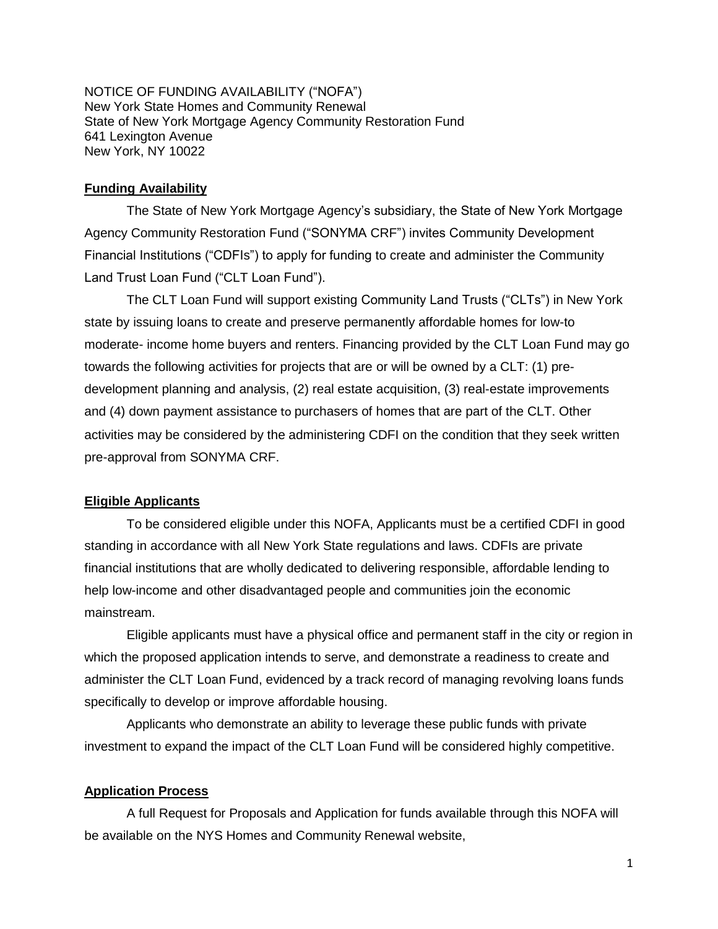NOTICE OF FUNDING AVAILABILITY ("NOFA") New York State Homes and Community Renewal State of New York Mortgage Agency Community Restoration Fund 641 Lexington Avenue New York, NY 10022

## **Funding Availability**

The State of New York Mortgage Agency's subsidiary, the State of New York Mortgage Agency Community Restoration Fund ("SONYMA CRF") invites Community Development Financial Institutions ("CDFIs") to apply for funding to create and administer the Community Land Trust Loan Fund ("CLT Loan Fund").

The CLT Loan Fund will support existing Community Land Trusts ("CLTs") in New York state by issuing loans to create and preserve permanently affordable homes for low-to moderate- income home buyers and renters. Financing provided by the CLT Loan Fund may go towards the following activities for projects that are or will be owned by a CLT: (1) predevelopment planning and analysis, (2) real estate acquisition, (3) real-estate improvements and (4) down payment assistance to purchasers of homes that are part of the CLT. Other activities may be considered by the administering CDFI on the condition that they seek written pre-approval from SONYMA CRF.

## **Eligible Applicants**

To be considered eligible under this NOFA, Applicants must be a certified CDFI in good standing in accordance with all New York State regulations and laws. CDFIs are private financial institutions that are wholly dedicated to delivering responsible, affordable lending to help low-income and other disadvantaged people and communities join the economic mainstream.

Eligible applicants must have a physical office and permanent staff in the city or region in which the proposed application intends to serve, and demonstrate a readiness to create and administer the CLT Loan Fund, evidenced by a track record of managing revolving loans funds specifically to develop or improve affordable housing.

Applicants who demonstrate an ability to leverage these public funds with private investment to expand the impact of the CLT Loan Fund will be considered highly competitive.

## **Application Process**

A full Request for Proposals and Application for funds available through this NOFA will be available on the NYS Homes and Community Renewal website,